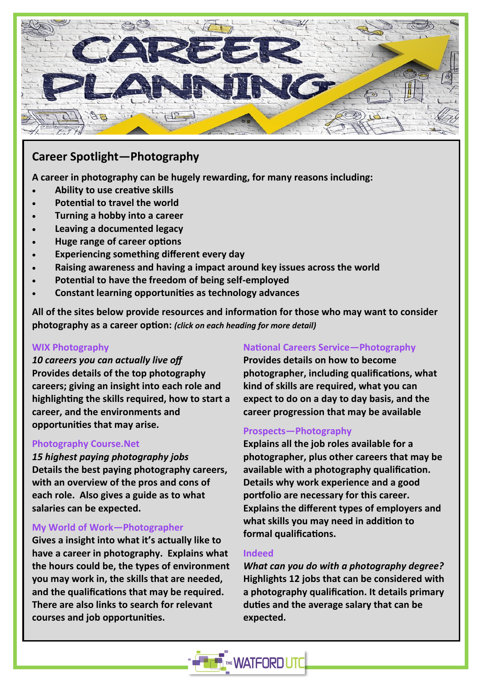

# **Career Spotlight—Photography**

**A career in photography can be hugely rewarding, for many reasons including:**

- **Ability to use creative skills**
- **Potential to travel the world**
- **Turning a hobby into a career**
- **Leaving a documented legacy**
- **Huge range of career options**
- **Experiencing something different every day**
- **Raising awareness and having a impact around key issues across the world**
- **Potential to have the freedom of being self-employed**
- **Constant learning opportunities as technology advances**

**All of the sites below provide resources and information for those who may want to consider photography as a career option:** *(click on each heading for more detail)*

#### **[WIX Photography](https://www.wix.com/blog/photography/photography-careers)**

*10 careers you can actually live off* **Provides details of the top photography careers; giving an insight into each role and highlighting the skills required, how to start a career, and the environments and opportunities that may arise.**

#### **[Photography Course.Net](https://photographycourse.net/highest-paying-photography-jobs/)**

*15 highest paying photography jobs* **Details the best paying photography careers, with an overview of the pros and cons of each role. Also gives a guide as to what salaries can be expected.**

### **[My World of Work—](https://www.myworldofwork.co.uk/my-career-options/job-profiles/photographer)Photographer**

**Gives a insight into what it's actually like to have a career in photography. Explains what the hours could be, the types of environment you may work in, the skills that are needed, and the qualifications that may be required. There are also links to search for relevant courses and job opportunities.**

### **[National Careers Service—Photography](https://nationalcareers.service.gov.uk/job-profiles/photographer)**

**Provides details on how to become photographer, including qualifications, what kind of skills are required, what you can expect to do on a day to day basis, and the career progression that may be available**

### **[Prospects—Photography](https://www.prospects.ac.uk/careers-advice/what-can-i-do-with-my-degree/photography#typical-employers)**

**Explains all the job roles available for a photographer, plus other careers that may be available with a photography qualification. Details why work experience and a good portfolio are necessary for this career. Explains the different types of employers and what skills you may need in addition to formal qualifications.**

#### **[Indeed](https://www.indeed.com/career-advice/finding-a-job/photography-degree-jobs)**

*What can you do with a photography degree?* **Highlights 12 jobs that can be considered with a photography qualification. It details primary duties and the average salary that can be expected.**

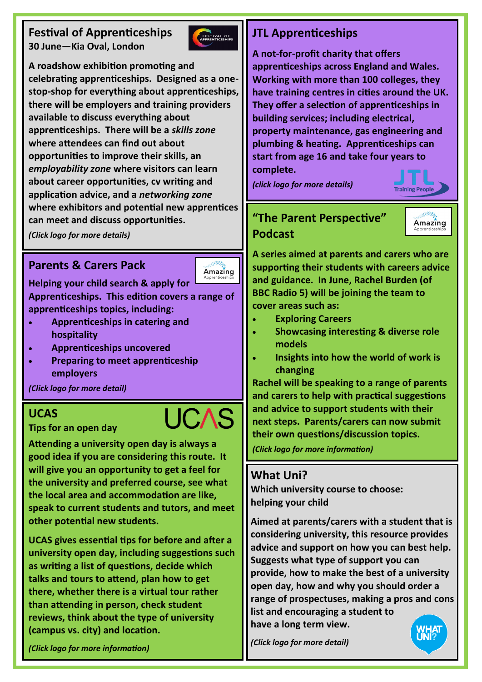# **Festival of Apprenticeships 30 June—Kia Oval, London**



**A roadshow exhibition promoting and celebrating apprenticeships. Designed as a onestop-shop for everything about apprenticeships, there will be employers and training providers available to discuss everything about apprenticeships. There will be a** *skills zone*  **where attendees can find out about opportunities to improve their skills, an**  *employability zone* **where visitors can learn about career opportunities, cv writing and application advice, and a** *networking zone*  **where exhibitors and potential new apprentices can meet and discuss opportunities.**

*(Click logo for more details)*

# **Parents & Carers Pack**



**Helping your child search & apply for** 

**Apprenticeships. This edition covers a range of apprenticeships topics, including:**

- **Apprenticeships in catering and hospitality**
- **Apprenticeships uncovered**
- **Preparing to meet apprenticeship employers**

*(Click logo for more detail)*

### **UCAS**

**Tips for an open day**

**Attending a university open day is always a good idea if you are considering this route. It will give you an opportunity to get a feel for the university and preferred course, see what the local area and accommodation are like, speak to current students and tutors, and meet other potential new students.**

**UCAS gives essential tips for before and after a university open day, including suggestions such as writing a list of questions, decide which talks and tours to attend, plan how to get there, whether there is a virtual tour rather than attending in person, check student reviews, think about the type of university (campus vs. city) and location.**

# **JTL Apprenticeships**

**A not-for-profit charity that offers apprenticeships across England and Wales. Working with more than 100 colleges, they have training centres in cities around the UK. They offer a selection of apprenticeships in building services; including electrical, property maintenance, gas engineering and plumbing & heating. Apprenticeships can start from age 16 and take four years to complete.**

*(click logo for more details)*

# **"The Parent Perspective" Podcast**



**Training People** 

**A series aimed at parents and carers who are supporting their students with careers advice and guidance. In June, Rachel Burden (of BBC Radio 5) will be joining the team to cover areas such as:**

- **Exploring Careers**
- **Showcasing interesting & diverse role models**
- **Insights into how the world of work is changing**

**Rachel will be speaking to a range of parents and carers to help with practical suggestions and advice to support students with their next steps. Parents/carers can now submit their own questions/discussion topics.**

*(Click logo for more information)*

## **What Uni?**

**Which university course to choose: helping your child**

**Aimed at parents/carers with a student that is considering university, this resource provides advice and support on how you can best help. Suggests what type of support you can provide, how to make the best of a university open day, how and why you should order a range of prospectuses, making a pros and cons list and encouraging a student to** 

**have a long term view.**

what<br>Uni?

*(Click logo for more detail)*

*(Click logo for more information)*